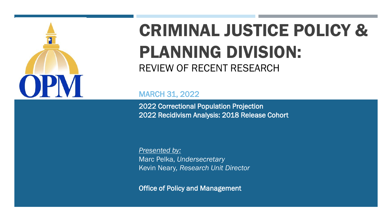

## CRIMINAL JUSTICE POLICY & PLANNING DIVISION: REVIEW OF RECENT RESEARCH

MARCH 31, 2022

2022 Correctional Population Projection 2022 Recidivism Analysis: 2018 Release Cohort

*Presented by:* Marc Pelka, *Undersecretary* Kevin Neary*, Research Unit Director*

Office of Policy and Management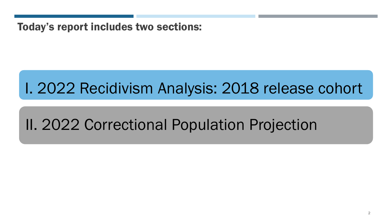Today's report includes two sections:

## I. 2022 Recidivism Analysis: 2018 release cohort

## II. 2022 Correctional Population Projection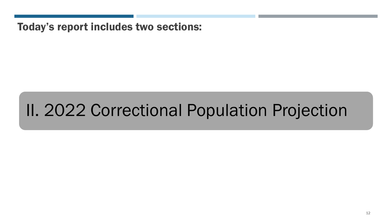Today's report includes two sections:

## II. 2022 Correctional Population Projection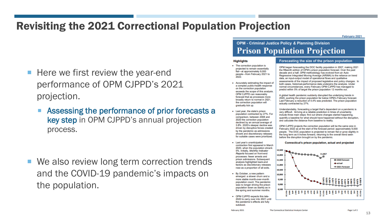#### Revisiting the 2021 Correctional Population Projection

February 2021

- Here we first review the year-end performance of OPM CJPPD's 2021 projection.
	- **Assessing the performance of prior forecasts a** key step in OPM CJPPD's annual projection process.

We also review long term correction trends and the COVID-19 pandemic's impacts on the population.

#### **OPM - Criminal Justice Policy & Planning Division Prison Population Projection**

#### **Highlights**

- . The correction population is projected to remain essentially flat-at approximately 9,000 people-from February 2021 to 2022.
- Accurately estimating the impact of a complex public-health response on the correction population exceeds the scope of this analysis OPM CJPPD can reasonably forecast that as processes more broadly return to normal in 2021, the correction population will gradually tick up.
- . Last year, the state's prison population contracted by 27%. For comparison, between 2008 and 2020 the correction population declined by an annual average of 3.8%. 2020's steeper decline was driven by disruptive forces created by the pandemic as admissions shrank and discretionary releases for suitable cases were prioritized.
- · Last year's unanticipated contraction first appeared in March 2020, when the population shrank 5%. Initially, Monthly Indicator Reports focused on front-end processes: fewer arrests and prison admissions. Subsequent analysis highlighted back-end factors as discretionary releases rose as a proportion of all exits.
- · By October, a new pattern emerged: a slower churn and a more stable month-over-month population count. The pandemic was no longer driving the prison population down as starkly as in the spring and summer months.
- OPM CJPPD expects this late-2020 to carry over into 2021 until the pandemic's effects are fully subdued

#### Forecasting the size of the prison population

OPM began forecasting the DOC facility population in 2007, making 2021 the fifteenth edition of OPM's prison population forecast. Over the past decade and a half, OPM methodology has evolved from an Auto Regressive Integrated Moving Average (ARIMA) to the reliance on trend data, an input-output model of operational flows and qualitative assessments of the impact of proposed legislative and policy changes. In both cases, historical-performance data underpins the analysis. Under normal circumstances, every February OPM CJPPD has managed to predict within 5% of target the prison population 12 months out.

A global health pandemic suddenly disrupted the underlying trends in 2020, pushing the prison population far below OPM's February forecast. Last February a reduction of 4.4% was predicted. The prison population actually contracted by 27%.

Understandably, forecasting a target that's dependent on a pandemic is very difficult. Arriving at a reliable prediction in times of uncertainty include three main steps: find out where changes started happening, quantify a baseline for what should have happened without the disruption, and calculate the distance from baseline to reality.

OPM CJPPD projects the correction population will be the same size in February 2022 as at the start of the forecast period: approximately 9,000 people. The DOC population is projected to remain flat or grow slightly in the long term as it inches forward, returning to the overall trend seen before the disruption brought on by the pandemic.

Connecticut's prison population, actual and projected



13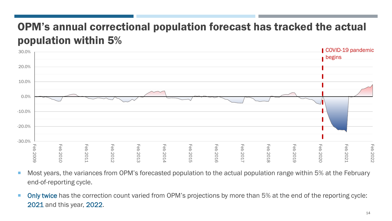## OPM's annual correctional population forecast has tracked the actual population within 5%



- Most years, the variances from OPM's forecasted population to the actual population range within 5% at the February end-of-reporting cycle.
- Only twice has the correction count varied from OPM's projections by more than 5% at the end of the reporting cycle: 2021 and this year, 2022.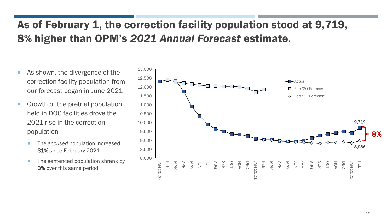## As of February 1, the correction facility population stood at 9,719, 8% higher than OPM's *2021 Annual Forecast* estimate.

- As shown, the divergence of the correction facility population from our forecast began in June 2021
- Growth of the pretrial population held in DOC facilities drove the 2021 rise in the correction population
	- The *accused* population increased 31% since February 2021
	- $\blacksquare$  The sentenced population shrank by 3% over this same period

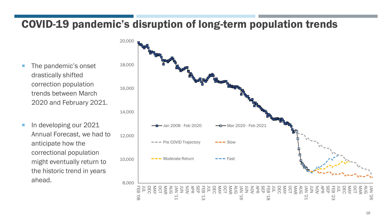### COVID-19 pandemic's disruption of long-term population trends

- **The pandemic's onset** drastically shifted correction population trends between March 2020 and February 2021.
- In developing our 2021 Annual Forecast, we had to anticipate how the correctional population might eventually return to the historic trend in years ahead.

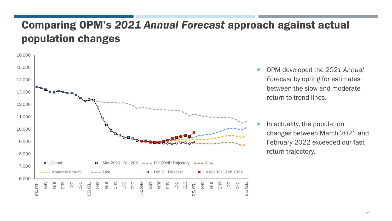### Comparing OPM's *2021 Annual Forecast* approach against actual population changes



■ OPM developed the 2021 Annual *Forecast* by opting for estimates between the slow and moderate return to trend lines.

 In actuality, the population changes between March 2021 and February 2022 exceeded our fast return trajectory.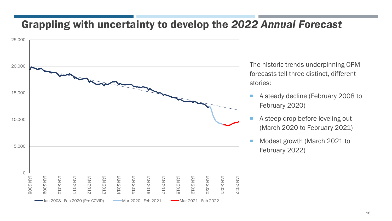#### Grappling with uncertainty to develop the *2022 Annual Forecast*



The historic trends underpinning OPM forecasts tell three distinct, different stories:

- A steady decline (February 2008 to February 2020)
- A steep drop before leveling out (March 2020 to February 2021)
- Modest growth (March 2021 to February 2022)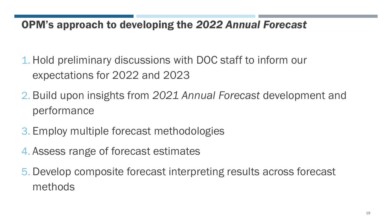#### OPM's approach to developing the *2022 Annual Forecast*

- 1. Hold preliminary discussions with DOC staff to inform our expectations for 2022 and 2023
- 2. Build upon insights from *2021 Annual Forecast* development and performance
- 3. Employ multiple forecast methodologies
- 4. Assess range of forecast estimates
- 5. Develop composite forecast interpreting results across forecast methods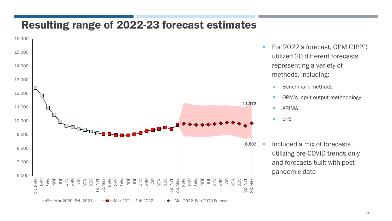#### Resulting range of 2022-23 forecast estimates



- For 2022's forecast, OPM CJPPD utilized 20 different forecasts representing a variety of methods, including:
	- **Benchmark methods**
	- OPM's input-output methodology
	- **ARIMA**

**ETS** 

 $\blacksquare$  Included a mix of forecasts utilizing pre-COVID trends only and forecasts built with postpandemic data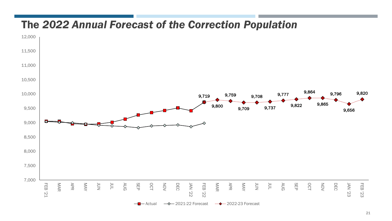#### The *2022 Annual Forecast of the Correction Population*